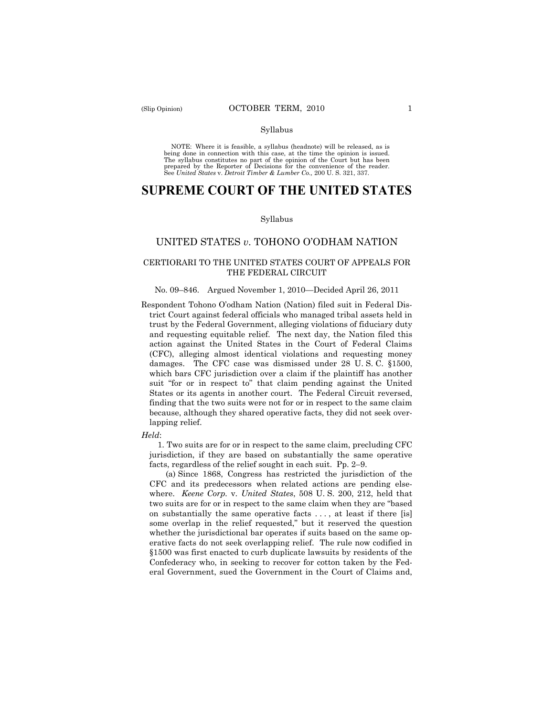#### Syllabus

NOTE: Where it is feasible, a syllabus (headnote) will be released, as is being done in connection with this case, at the time the opinion is issued. The syllabus constitutes no part of the opinion of the Court but has been<br>prepared by the Reporter of Decisions for the convenience of the reader.<br>See United States v. Detroit Timber & Lumber Co., 200 U. S. 321, 337.

# **SUPREME COURT OF THE UNITED STATES**

#### Syllabus

## UNITED STATES *v*. TOHONO O'ODHAM NATION

### CERTIORARI TO THE UNITED STATES COURT OF APPEALS FOR THE FEDERAL CIRCUIT

#### No. 09–846. Argued November 1, 2010—Decided April 26, 2011

Respondent Tohono O'odham Nation (Nation) filed suit in Federal District Court against federal officials who managed tribal assets held in trust by the Federal Government, alleging violations of fiduciary duty and requesting equitable relief. The next day, the Nation filed this action against the United States in the Court of Federal Claims (CFC), alleging almost identical violations and requesting money damages. The CFC case was dismissed under 28 U. S. C. §1500, which bars CFC jurisdiction over a claim if the plaintiff has another suit "for or in respect to" that claim pending against the United States or its agents in another court. The Federal Circuit reversed, finding that the two suits were not for or in respect to the same claim because, although they shared operative facts, they did not seek overlapping relief.

#### *Held*:

1. Two suits are for or in respect to the same claim, precluding CFC jurisdiction, if they are based on substantially the same operative facts, regardless of the relief sought in each suit. Pp. 2–9.

(a) Since 1868, Congress has restricted the jurisdiction of the CFC and its predecessors when related actions are pending elsewhere. *Keene Corp.* v. *United States*, 508 U. S. 200, 212, held that two suits are for or in respect to the same claim when they are "based on substantially the same operative facts . . . , at least if there [is] some overlap in the relief requested," but it reserved the question whether the jurisdictional bar operates if suits based on the same operative facts do not seek overlapping relief. The rule now codified in §1500 was first enacted to curb duplicate lawsuits by residents of the Confederacy who, in seeking to recover for cotton taken by the Federal Government, sued the Government in the Court of Claims and,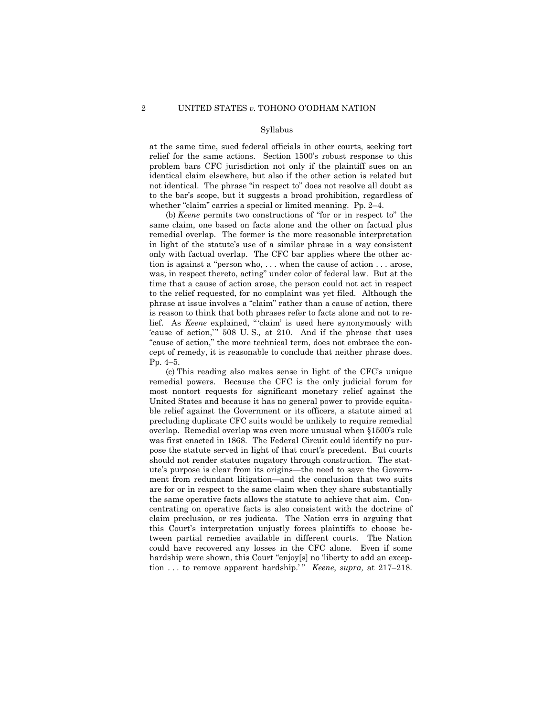#### Syllabus

at the same time, sued federal officials in other courts, seeking tort relief for the same actions. Section 1500's robust response to this problem bars CFC jurisdiction not only if the plaintiff sues on an identical claim elsewhere, but also if the other action is related but not identical. The phrase "in respect to" does not resolve all doubt as to the bar's scope, but it suggests a broad prohibition, regardless of whether "claim" carries a special or limited meaning. Pp. 2–4.

(b) *Keene* permits two constructions of "for or in respect to" the same claim, one based on facts alone and the other on factual plus remedial overlap. The former is the more reasonable interpretation in light of the statute's use of a similar phrase in a way consistent only with factual overlap. The CFC bar applies where the other action is against a "person who, . . . when the cause of action . . . arose, was, in respect thereto, acting" under color of federal law. But at the time that a cause of action arose, the person could not act in respect to the relief requested, for no complaint was yet filed. Although the phrase at issue involves a "claim" rather than a cause of action, there is reason to think that both phrases refer to facts alone and not to relief. As *Keene* explained, " 'claim' is used here synonymously with 'cause of action,'" 508 U.S., at 210. And if the phrase that uses "cause of action," the more technical term, does not embrace the concept of remedy, it is reasonable to conclude that neither phrase does. Pp. 4–5.

(c) This reading also makes sense in light of the CFC's unique remedial powers. Because the CFC is the only judicial forum for most nontort requests for significant monetary relief against the United States and because it has no general power to provide equitable relief against the Government or its officers, a statute aimed at precluding duplicate CFC suits would be unlikely to require remedial overlap. Remedial overlap was even more unusual when §1500's rule was first enacted in 1868. The Federal Circuit could identify no purpose the statute served in light of that court's precedent. But courts should not render statutes nugatory through construction. The statute's purpose is clear from its origins—the need to save the Government from redundant litigation—and the conclusion that two suits are for or in respect to the same claim when they share substantially the same operative facts allows the statute to achieve that aim. Concentrating on operative facts is also consistent with the doctrine of claim preclusion, or res judicata. The Nation errs in arguing that this Court's interpretation unjustly forces plaintiffs to choose between partial remedies available in different courts. The Nation could have recovered any losses in the CFC alone. Even if some hardship were shown, this Court "enjoy[s] no 'liberty to add an exception . . . to remove apparent hardship.'" *Keene*, *supra*, at 217–218.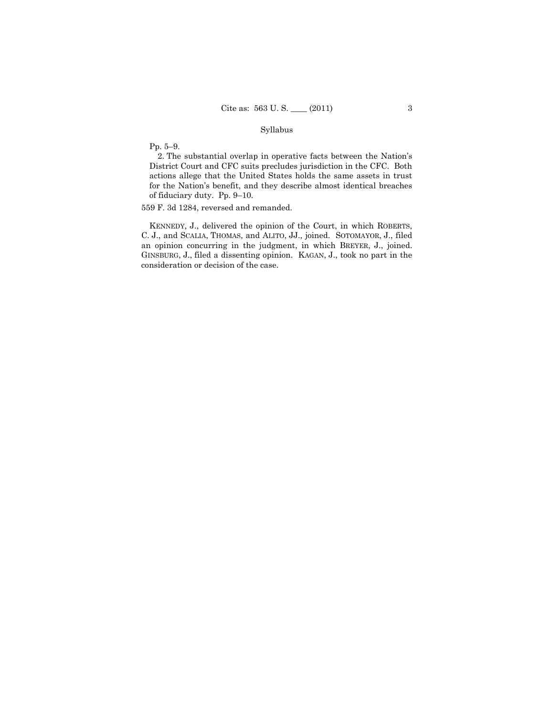## Syllabus

Pp. 5–9.

2. The substantial overlap in operative facts between the Nation's District Court and CFC suits precludes jurisdiction in the CFC. Both actions allege that the United States holds the same assets in trust for the Nation's benefit, and they describe almost identical breaches of fiduciary duty. Pp. 9–10.

559 F. 3d 1284, reversed and remanded.

KENNEDY, J., delivered the opinion of the Court, in which ROBERTS, C. J., and SCALIA, THOMAS, and ALITO, JJ., joined. SOTOMAYOR, J., filed an opinion concurring in the judgment, in which BREYER, J., joined. GINSBURG, J., filed a dissenting opinion. KAGAN, J., took no part in the consideration or decision of the case.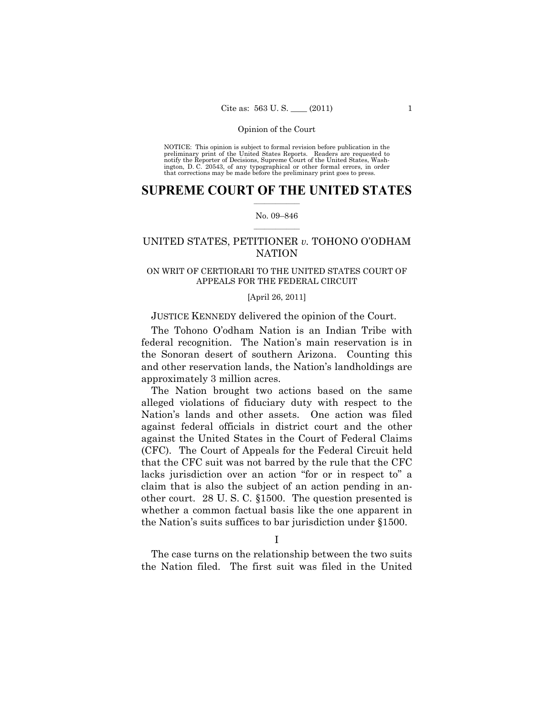NOTICE: This opinion is subject to formal revision before publication in the preliminary print of the United States Reports. Readers are requested to notify the Reporter of Decisions, Supreme Court of the United States, Washington, D. C. 20543, of any typographical or other formal errors, in order that corrections may be made before the preliminary print goes to press.

## $\frac{1}{2}$  ,  $\frac{1}{2}$  ,  $\frac{1}{2}$  ,  $\frac{1}{2}$  ,  $\frac{1}{2}$  ,  $\frac{1}{2}$  ,  $\frac{1}{2}$ **SUPREME COURT OF THE UNITED STATES**

#### $\frac{1}{2}$  ,  $\frac{1}{2}$  ,  $\frac{1}{2}$  ,  $\frac{1}{2}$  ,  $\frac{1}{2}$  ,  $\frac{1}{2}$ No. 09–846

## UNITED STATES, PETITIONER *v.* TOHONO O'ODHAM **NATION**

## ON WRIT OF CERTIORARI TO THE UNITED STATES COURT OF APPEALS FOR THE FEDERAL CIRCUIT

#### [April 26, 2011]

### JUSTICE KENNEDY delivered the opinion of the Court.

The Tohono O'odham Nation is an Indian Tribe with federal recognition. The Nation's main reservation is in the Sonoran desert of southern Arizona. Counting this and other reservation lands, the Nation's landholdings are approximately 3 million acres.

The Nation brought two actions based on the same alleged violations of fiduciary duty with respect to the Nation's lands and other assets. One action was filed against federal officials in district court and the other against the United States in the Court of Federal Claims (CFC). The Court of Appeals for the Federal Circuit held that the CFC suit was not barred by the rule that the CFC lacks jurisdiction over an action "for or in respect to" a claim that is also the subject of an action pending in another court. 28 U. S. C. §1500. The question presented is whether a common factual basis like the one apparent in the Nation's suits suffices to bar jurisdiction under §1500.

I

The case turns on the relationship between the two suits the Nation filed. The first suit was filed in the United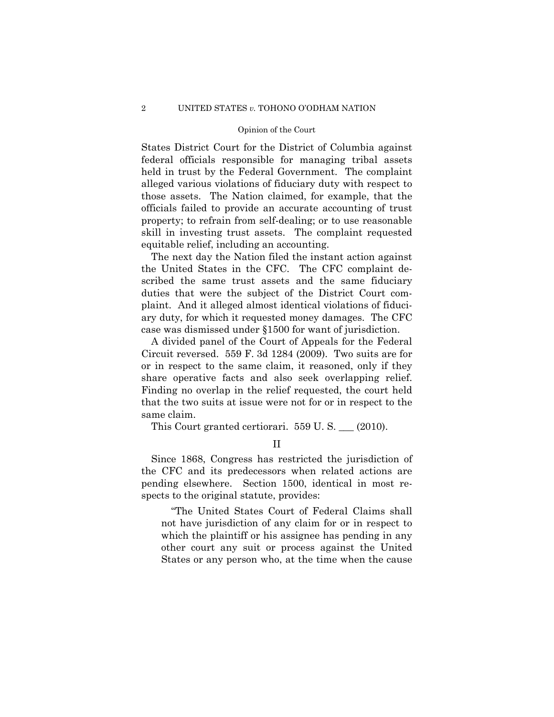States District Court for the District of Columbia against federal officials responsible for managing tribal assets held in trust by the Federal Government. The complaint alleged various violations of fiduciary duty with respect to those assets. The Nation claimed, for example, that the officials failed to provide an accurate accounting of trust property; to refrain from self-dealing; or to use reasonable skill in investing trust assets. The complaint requested equitable relief, including an accounting.

The next day the Nation filed the instant action against the United States in the CFC. The CFC complaint described the same trust assets and the same fiduciary duties that were the subject of the District Court complaint. And it alleged almost identical violations of fiduciary duty, for which it requested money damages. The CFC case was dismissed under §1500 for want of jurisdiction.

A divided panel of the Court of Appeals for the Federal Circuit reversed. 559 F. 3d 1284 (2009). Two suits are for or in respect to the same claim, it reasoned, only if they share operative facts and also seek overlapping relief. Finding no overlap in the relief requested, the court held that the two suits at issue were not for or in respect to the same claim.

This Court granted certiorari. 559 U. S. \_\_\_ (2010).

II

Since 1868, Congress has restricted the jurisdiction of the CFC and its predecessors when related actions are pending elsewhere. Section 1500, identical in most respects to the original statute, provides:

"The United States Court of Federal Claims shall not have jurisdiction of any claim for or in respect to which the plaintiff or his assignee has pending in any other court any suit or process against the United States or any person who, at the time when the cause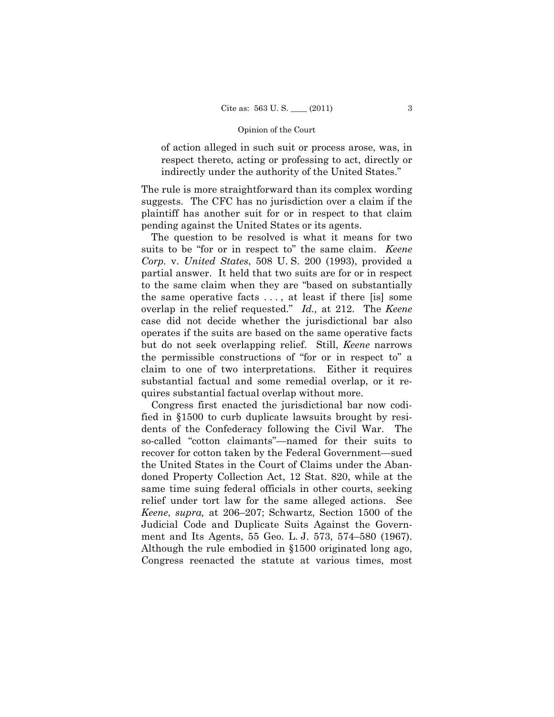of action alleged in such suit or process arose, was, in respect thereto, acting or professing to act, directly or indirectly under the authority of the United States."

The rule is more straightforward than its complex wording suggests. The CFC has no jurisdiction over a claim if the plaintiff has another suit for or in respect to that claim pending against the United States or its agents.

The question to be resolved is what it means for two suits to be "for or in respect to" the same claim. *Keene Corp.* v. *United States*, 508 U. S. 200 (1993), provided a partial answer. It held that two suits are for or in respect to the same claim when they are "based on substantially the same operative facts . . . , at least if there [is] some overlap in the relief requested." *Id.,* at 212. The *Keene*  case did not decide whether the jurisdictional bar also operates if the suits are based on the same operative facts but do not seek overlapping relief. Still, *Keene* narrows the permissible constructions of "for or in respect to" a claim to one of two interpretations. Either it requires substantial factual and some remedial overlap, or it requires substantial factual overlap without more.

Congress first enacted the jurisdictional bar now codified in §1500 to curb duplicate lawsuits brought by residents of the Confederacy following the Civil War. The so-called "cotton claimants"—named for their suits to recover for cotton taken by the Federal Government—sued the United States in the Court of Claims under the Abandoned Property Collection Act, 12 Stat. 820, while at the same time suing federal officials in other courts, seeking relief under tort law for the same alleged actions. See *Keene*, *supra,* at 206–207; Schwartz, Section 1500 of the Judicial Code and Duplicate Suits Against the Government and Its Agents, 55 Geo. L. J. 573, 574–580 (1967). Although the rule embodied in §1500 originated long ago, Congress reenacted the statute at various times, most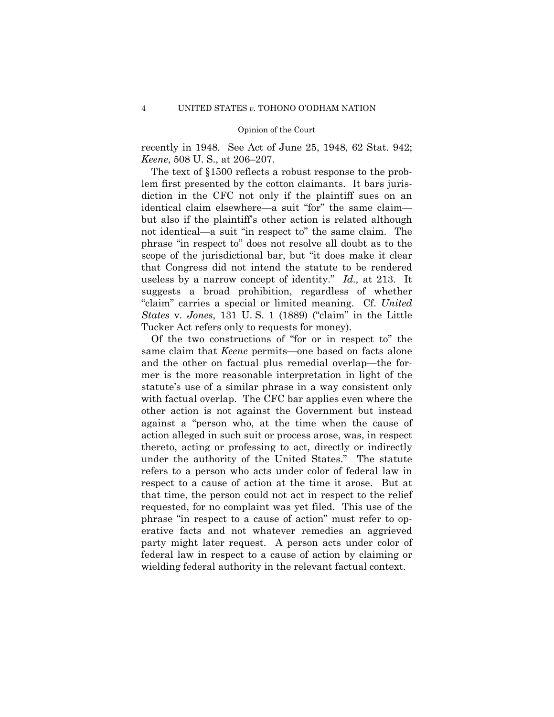recently in 1948. See Act of June 25, 1948, 62 Stat. 942; *Keene*, 508 U. S., at 206–207.

The text of §1500 reflects a robust response to the problem first presented by the cotton claimants. It bars jurisdiction in the CFC not only if the plaintiff sues on an identical claim elsewhere—a suit "for" the same claim but also if the plaintiff's other action is related although not identical—a suit "in respect to" the same claim. The phrase "in respect to" does not resolve all doubt as to the scope of the jurisdictional bar, but "it does make it clear that Congress did not intend the statute to be rendered useless by a narrow concept of identity." *Id.,* at 213. It suggests a broad prohibition, regardless of whether "claim" carries a special or limited meaning. Cf. *United States* v. *Jones*, 131 U. S. 1 (1889) ("claim" in the Little Tucker Act refers only to requests for money).

Of the two constructions of "for or in respect to" the same claim that *Keene* permits—one based on facts alone and the other on factual plus remedial overlap—the former is the more reasonable interpretation in light of the statute's use of a similar phrase in a way consistent only with factual overlap. The CFC bar applies even where the other action is not against the Government but instead against a "person who, at the time when the cause of action alleged in such suit or process arose, was, in respect thereto, acting or professing to act, directly or indirectly under the authority of the United States." The statute refers to a person who acts under color of federal law in respect to a cause of action at the time it arose. But at that time, the person could not act in respect to the relief requested, for no complaint was yet filed. This use of the phrase "in respect to a cause of action" must refer to operative facts and not whatever remedies an aggrieved party might later request. A person acts under color of federal law in respect to a cause of action by claiming or wielding federal authority in the relevant factual context.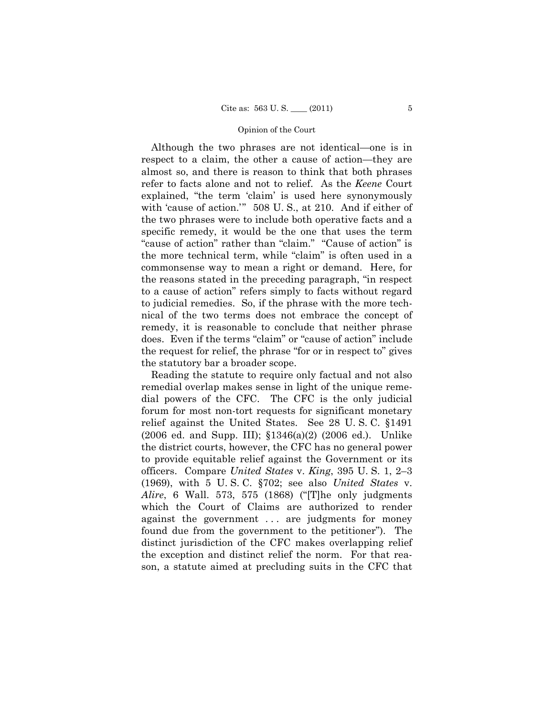Although the two phrases are not identical—one is in respect to a claim, the other a cause of action—they are almost so, and there is reason to think that both phrases refer to facts alone and not to relief. As the *Keene* Court explained, "the term 'claim' is used here synonymously with 'cause of action.'" 508 U. S., at 210. And if either of the two phrases were to include both operative facts and a specific remedy, it would be the one that uses the term "cause of action" rather than "claim." "Cause of action" is the more technical term, while "claim" is often used in a commonsense way to mean a right or demand. Here, for the reasons stated in the preceding paragraph, "in respect to a cause of action" refers simply to facts without regard to judicial remedies. So, if the phrase with the more technical of the two terms does not embrace the concept of remedy, it is reasonable to conclude that neither phrase does. Even if the terms "claim" or "cause of action" include the request for relief, the phrase "for or in respect to" gives the statutory bar a broader scope.

Reading the statute to require only factual and not also remedial overlap makes sense in light of the unique remedial powers of the CFC. The CFC is the only judicial forum for most non-tort requests for significant monetary relief against the United States. See 28 U. S. C. §1491 (2006 ed. and Supp. III); §1346(a)(2) (2006 ed.). Unlike the district courts, however, the CFC has no general power to provide equitable relief against the Government or its officers. Compare *United States* v. *King*, 395 U. S. 1, 2–3 (1969), with 5 U. S. C. §702; see also *United States* v. *Alire*, 6 Wall. 573, 575 (1868) ("[T]he only judgments which the Court of Claims are authorized to render against the government ... are judgments for money found due from the government to the petitioner"). The distinct jurisdiction of the CFC makes overlapping relief the exception and distinct relief the norm. For that reason, a statute aimed at precluding suits in the CFC that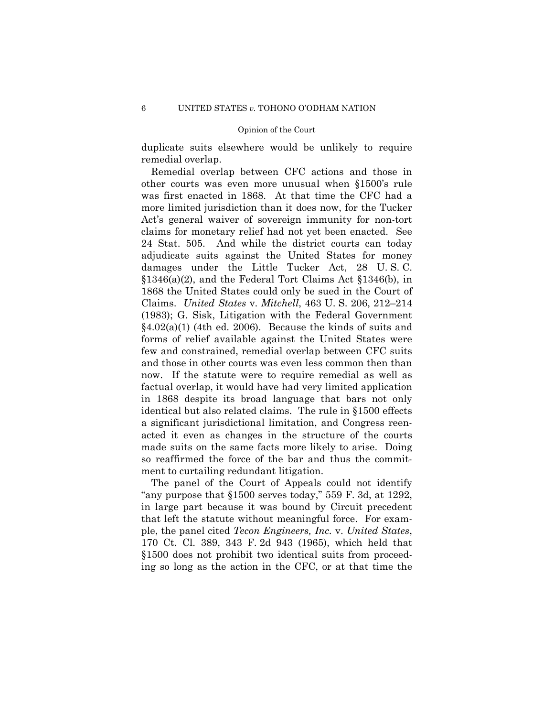duplicate suits elsewhere would be unlikely to require remedial overlap.

Remedial overlap between CFC actions and those in other courts was even more unusual when §1500's rule was first enacted in 1868. At that time the CFC had a more limited jurisdiction than it does now, for the Tucker Act's general waiver of sovereign immunity for non-tort claims for monetary relief had not yet been enacted. See 24 Stat. 505. And while the district courts can today adjudicate suits against the United States for money damages under the Little Tucker Act, 28 U. S. C. §1346(a)(2), and the Federal Tort Claims Act §1346(b), in 1868 the United States could only be sued in the Court of Claims. *United States* v. *Mitchell*, 463 U. S. 206, 212–214 (1983); G. Sisk, Litigation with the Federal Government  $§4.02(a)(1)$  (4th ed. 2006). Because the kinds of suits and forms of relief available against the United States were few and constrained, remedial overlap between CFC suits and those in other courts was even less common then than now. If the statute were to require remedial as well as factual overlap, it would have had very limited application in 1868 despite its broad language that bars not only identical but also related claims. The rule in §1500 effects a significant jurisdictional limitation, and Congress reenacted it even as changes in the structure of the courts made suits on the same facts more likely to arise. Doing so reaffirmed the force of the bar and thus the commitment to curtailing redundant litigation.

The panel of the Court of Appeals could not identify "any purpose that  $$1500$  serves today," 559 F. 3d, at 1292, in large part because it was bound by Circuit precedent that left the statute without meaningful force. For example, the panel cited *Tecon Engineers, Inc.* v. *United States*, 170 Ct. Cl. 389, 343 F. 2d 943 (1965), which held that §1500 does not prohibit two identical suits from proceeding so long as the action in the CFC, or at that time the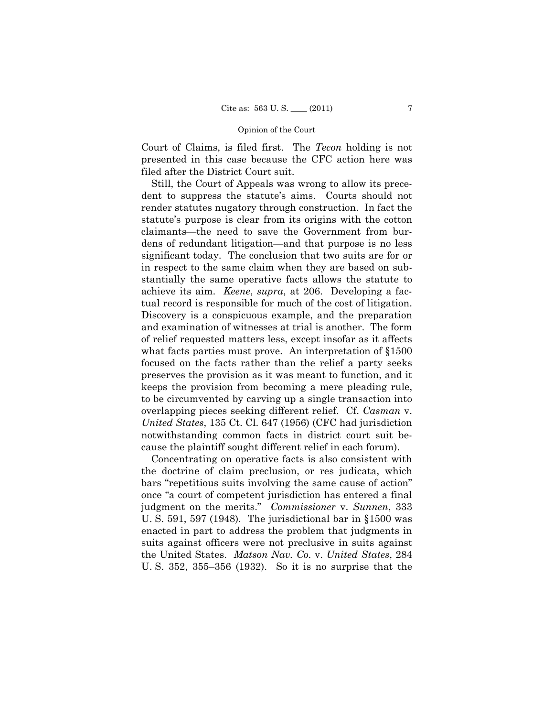Court of Claims, is filed first. The *Tecon* holding is not presented in this case because the CFC action here was filed after the District Court suit.

Still, the Court of Appeals was wrong to allow its precedent to suppress the statute's aims. Courts should not render statutes nugatory through construction. In fact the statute's purpose is clear from its origins with the cotton claimants—the need to save the Government from burdens of redundant litigation—and that purpose is no less significant today. The conclusion that two suits are for or in respect to the same claim when they are based on substantially the same operative facts allows the statute to achieve its aim. *Keene*, *supra*, at 206. Developing a factual record is responsible for much of the cost of litigation. Discovery is a conspicuous example, and the preparation and examination of witnesses at trial is another. The form of relief requested matters less, except insofar as it affects what facts parties must prove. An interpretation of  $\S1500$ focused on the facts rather than the relief a party seeks preserves the provision as it was meant to function, and it keeps the provision from becoming a mere pleading rule, to be circumvented by carving up a single transaction into overlapping pieces seeking different relief. Cf. *Casman* v. *United States*, 135 Ct. Cl. 647 (1956) (CFC had jurisdiction notwithstanding common facts in district court suit because the plaintiff sought different relief in each forum).

Concentrating on operative facts is also consistent with the doctrine of claim preclusion, or res judicata, which bars "repetitious suits involving the same cause of action" once "a court of competent jurisdiction has entered a final judgment on the merits." *Commissioner* v. *Sunnen*, 333 U. S. 591, 597 (1948). The jurisdictional bar in §1500 was enacted in part to address the problem that judgments in suits against officers were not preclusive in suits against the United States. *Matson Nav. Co.* v. *United States*, 284 U. S. 352, 355–356 (1932). So it is no surprise that the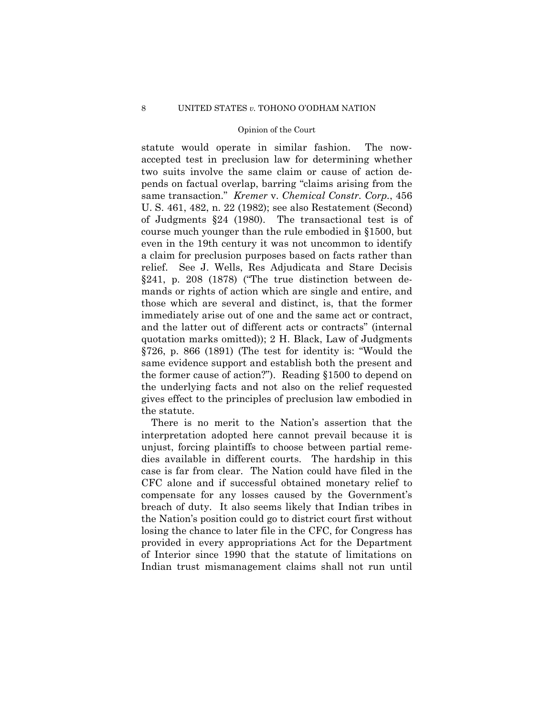statute would operate in similar fashion. The nowaccepted test in preclusion law for determining whether two suits involve the same claim or cause of action depends on factual overlap, barring "claims arising from the same transaction." *Kremer* v. *Chemical Constr. Corp.*, 456 U. S. 461, 482, n. 22 (1982); see also Restatement (Second) of Judgments §24 (1980). The transactional test is of course much younger than the rule embodied in §1500, but even in the 19th century it was not uncommon to identify a claim for preclusion purposes based on facts rather than relief. See J. Wells, Res Adjudicata and Stare Decisis §241, p. 208 (1878) ("The true distinction between demands or rights of action which are single and entire, and those which are several and distinct, is, that the former immediately arise out of one and the same act or contract, and the latter out of different acts or contracts" (internal quotation marks omitted)); 2 H. Black, Law of Judgments §726, p. 866 (1891) (The test for identity is: "Would the same evidence support and establish both the present and the former cause of action?"). Reading §1500 to depend on the underlying facts and not also on the relief requested gives effect to the principles of preclusion law embodied in the statute.

There is no merit to the Nation's assertion that the interpretation adopted here cannot prevail because it is unjust, forcing plaintiffs to choose between partial remedies available in different courts. The hardship in this case is far from clear. The Nation could have filed in the CFC alone and if successful obtained monetary relief to compensate for any losses caused by the Government's breach of duty. It also seems likely that Indian tribes in the Nation's position could go to district court first without losing the chance to later file in the CFC, for Congress has provided in every appropriations Act for the Department of Interior since 1990 that the statute of limitations on Indian trust mismanagement claims shall not run until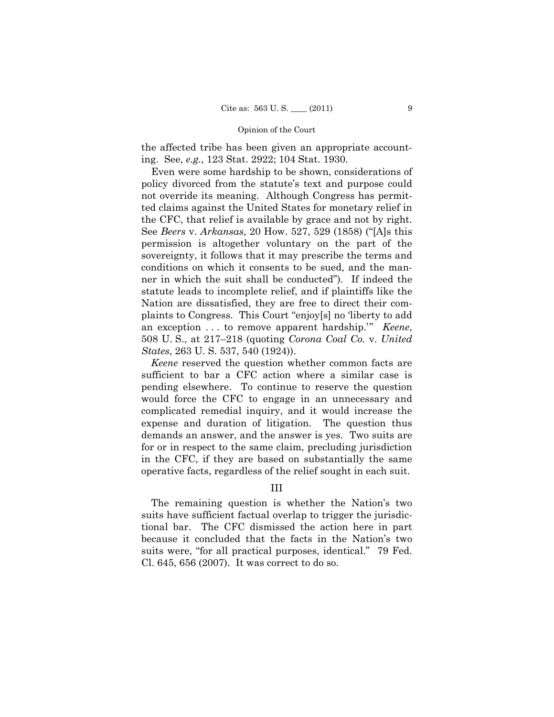the affected tribe has been given an appropriate accounting. See, *e.g.*, 123 Stat. 2922; 104 Stat. 1930.

Even were some hardship to be shown, considerations of policy divorced from the statute's text and purpose could not override its meaning. Although Congress has permitted claims against the United States for monetary relief in the CFC, that relief is available by grace and not by right. See *Beers* v. *Arkansas*, 20 How. 527, 529 (1858) ("[A]s this permission is altogether voluntary on the part of the sovereignty, it follows that it may prescribe the terms and conditions on which it consents to be sued, and the manner in which the suit shall be conducted"). If indeed the statute leads to incomplete relief, and if plaintiffs like the Nation are dissatisfied, they are free to direct their complaints to Congress. This Court "enjoy[s] no 'liberty to add an exception . . . to remove apparent hardship.'" *Keene*, 508 U. S., at 217–218 (quoting *Corona Coal Co.* v. *United States*, 263 U. S. 537, 540 (1924)).

*Keene* reserved the question whether common facts are sufficient to bar a CFC action where a similar case is pending elsewhere. To continue to reserve the question would force the CFC to engage in an unnecessary and complicated remedial inquiry, and it would increase the expense and duration of litigation. The question thus demands an answer, and the answer is yes. Two suits are for or in respect to the same claim, precluding jurisdiction in the CFC, if they are based on substantially the same operative facts, regardless of the relief sought in each suit.

## III

The remaining question is whether the Nation's two suits have sufficient factual overlap to trigger the jurisdictional bar. The CFC dismissed the action here in part because it concluded that the facts in the Nation's two suits were, "for all practical purposes, identical." 79 Fed. Cl. 645, 656 (2007). It was correct to do so.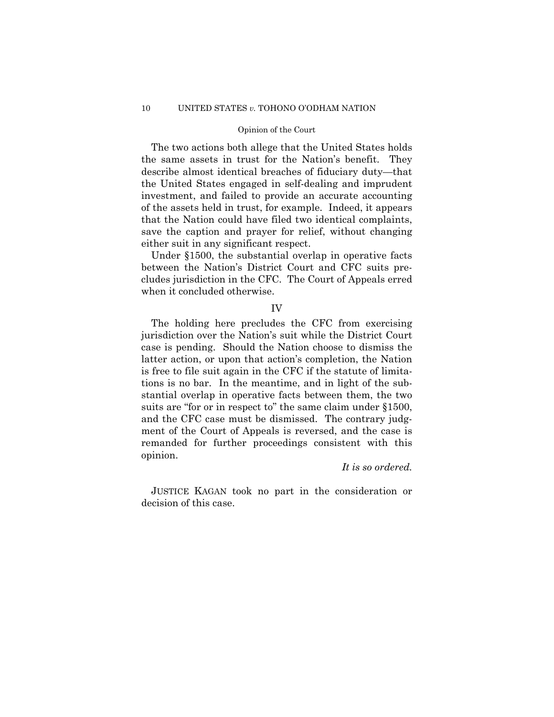The two actions both allege that the United States holds the same assets in trust for the Nation's benefit. They describe almost identical breaches of fiduciary duty—that the United States engaged in self-dealing and imprudent investment, and failed to provide an accurate accounting of the assets held in trust, for example. Indeed, it appears that the Nation could have filed two identical complaints, save the caption and prayer for relief, without changing either suit in any significant respect.

Under §1500, the substantial overlap in operative facts between the Nation's District Court and CFC suits precludes jurisdiction in the CFC. The Court of Appeals erred when it concluded otherwise.

## IV

The holding here precludes the CFC from exercising jurisdiction over the Nation's suit while the District Court case is pending. Should the Nation choose to dismiss the latter action, or upon that action's completion, the Nation is free to file suit again in the CFC if the statute of limitations is no bar. In the meantime, and in light of the substantial overlap in operative facts between them, the two suits are "for or in respect to" the same claim under §1500, and the CFC case must be dismissed. The contrary judgment of the Court of Appeals is reversed, and the case is remanded for further proceedings consistent with this opinion.

## *It is so ordered.*

JUSTICE KAGAN took no part in the consideration or decision of this case.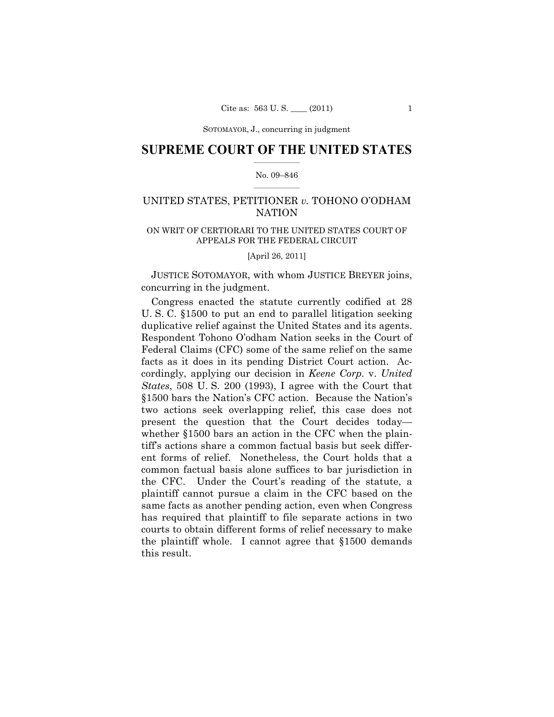## $\frac{1}{2}$  ,  $\frac{1}{2}$  ,  $\frac{1}{2}$  ,  $\frac{1}{2}$  ,  $\frac{1}{2}$  ,  $\frac{1}{2}$  ,  $\frac{1}{2}$ **SUPREME COURT OF THE UNITED STATES**

#### $\frac{1}{2}$  ,  $\frac{1}{2}$  ,  $\frac{1}{2}$  ,  $\frac{1}{2}$  ,  $\frac{1}{2}$  ,  $\frac{1}{2}$ No. 09–846

## UNITED STATES, PETITIONER *v.* TOHONO O'ODHAM NATION

## ON WRIT OF CERTIORARI TO THE UNITED STATES COURT OF APPEALS FOR THE FEDERAL CIRCUIT

[April 26, 2011]

JUSTICE SOTOMAYOR, with whom JUSTICE BREYER joins, concurring in the judgment.

Congress enacted the statute currently codified at 28 U. S. C. §1500 to put an end to parallel litigation seeking duplicative relief against the United States and its agents. Respondent Tohono O'odham Nation seeks in the Court of Federal Claims (CFC) some of the same relief on the same facts as it does in its pending District Court action. Accordingly, applying our decision in *Keene Corp.* v. *United States*, 508 U. S. 200 (1993), I agree with the Court that §1500 bars the Nation's CFC action. Because the Nation's two actions seek overlapping relief, this case does not present the question that the Court decides today whether §1500 bars an action in the CFC when the plaintiff's actions share a common factual basis but seek different forms of relief. Nonetheless, the Court holds that a common factual basis alone suffices to bar jurisdiction in the CFC. Under the Court's reading of the statute, a plaintiff cannot pursue a claim in the CFC based on the same facts as another pending action, even when Congress has required that plaintiff to file separate actions in two courts to obtain different forms of relief necessary to make the plaintiff whole. I cannot agree that §1500 demands this result.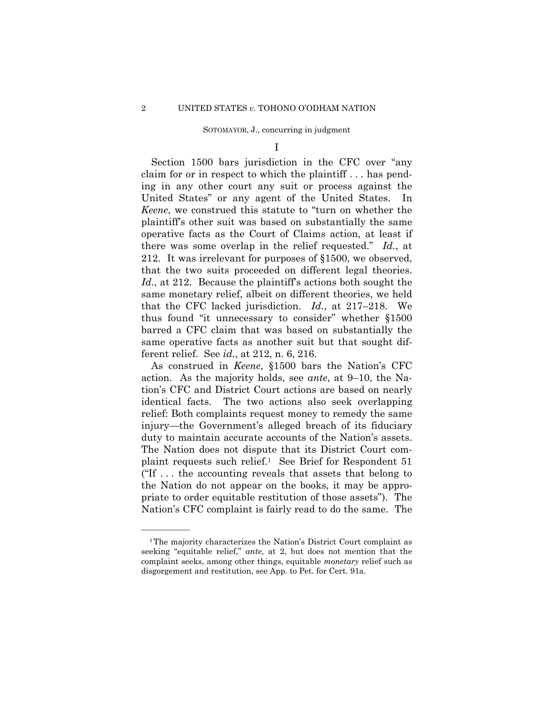I

Section 1500 bars jurisdiction in the CFC over "any claim for or in respect to which the plaintiff . . . has pending in any other court any suit or process against the United States" or any agent of the United States. In *Keene*, we construed this statute to "turn on whether the plaintiff's other suit was based on substantially the same operative facts as the Court of Claims action, at least if there was some overlap in the relief requested." *Id.*, at 212. It was irrelevant for purposes of §1500, we observed, that the two suits proceeded on different legal theories. *Id.*, at 212. Because the plaintiff's actions both sought the same monetary relief, albeit on different theories, we held that the CFC lacked jurisdiction. *Id.*, at 217–218. We thus found "it unnecessary to consider" whether §1500 barred a CFC claim that was based on substantially the same operative facts as another suit but that sought different relief. See *id.*, at 212, n. 6, 216.

As construed in *Keene*, §1500 bars the Nation's CFC action. As the majority holds, see *ante*, at 9–10, the Nation's CFC and District Court actions are based on nearly identical facts. The two actions also seek overlapping relief: Both complaints request money to remedy the same injury—the Government's alleged breach of its fiduciary duty to maintain accurate accounts of the Nation's assets. The Nation does not dispute that its District Court complaint requests such relief.1 See Brief for Respondent 51 ("If  $\dots$  the accounting reveals that assets that belong to the Nation do not appear on the books, it may be appropriate to order equitable restitution of those assets"). The Nation's CFC complaint is fairly read to do the same. The

<sup>1</sup>The majority characterizes the Nation's District Court complaint as seeking "equitable relief," *ante*, at 2, but does not mention that the complaint seeks, among other things, equitable *monetary* relief such as disgorgement and restitution, see App. to Pet. for Cert. 91a.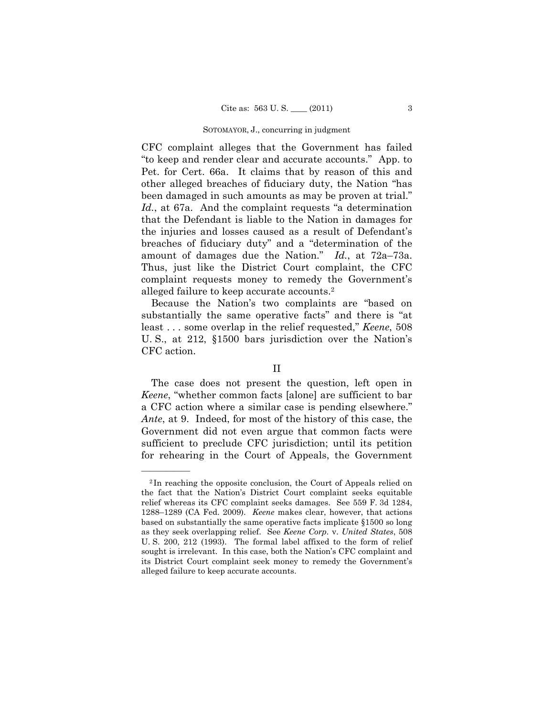CFC complaint alleges that the Government has failed "to keep and render clear and accurate accounts." App. to Pet. for Cert. 66a. It claims that by reason of this and other alleged breaches of fiduciary duty, the Nation "has been damaged in such amounts as may be proven at trial." *Id.*, at 67a. And the complaint requests "a determination that the Defendant is liable to the Nation in damages for the injuries and losses caused as a result of Defendant's breaches of fiduciary duty" and a "determination of the amount of damages due the Nation." *Id.*, at 72a–73a. Thus, just like the District Court complaint, the CFC complaint requests money to remedy the Government's alleged failure to keep accurate accounts.2

Because the Nation's two complaints are "based on substantially the same operative facts" and there is "at least . . . some overlap in the relief requested," *Keene*, 508 U. S., at 212, §1500 bars jurisdiction over the Nation's CFC action.

## II

The case does not present the question, left open in *Keene*, "whether common facts [alone] are sufficient to bar a CFC action where a similar case is pending elsewhere." *Ante*, at 9. Indeed, for most of the history of this case, the Government did not even argue that common facts were sufficient to preclude CFC jurisdiction; until its petition for rehearing in the Court of Appeals, the Government

<sup>2</sup> In reaching the opposite conclusion, the Court of Appeals relied on the fact that the Nation's District Court complaint seeks equitable relief whereas its CFC complaint seeks damages. See 559 F. 3d 1284, 1288–1289 (CA Fed. 2009). *Keene* makes clear, however, that actions based on substantially the same operative facts implicate §1500 so long as they seek overlapping relief. See *Keene Corp.* v. *United States*, 508 U. S. 200, 212 (1993). The formal label affixed to the form of relief sought is irrelevant. In this case, both the Nation's CFC complaint and its District Court complaint seek money to remedy the Government's alleged failure to keep accurate accounts.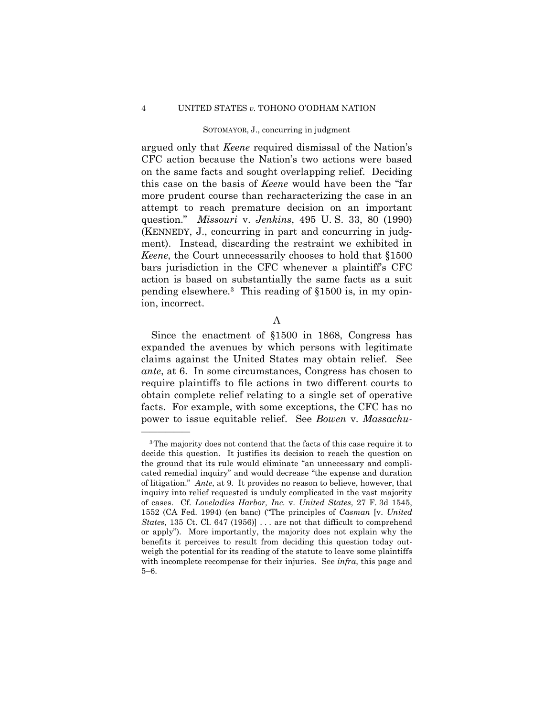#### 4 UNITED STATES *v.* TOHONO O'ODHAM NATION

#### SOTOMAYOR, J., concurring in judgment

argued only that *Keene* required dismissal of the Nation's CFC action because the Nation's two actions were based on the same facts and sought overlapping relief. Deciding this case on the basis of *Keene* would have been the "far more prudent course than recharacterizing the case in an attempt to reach premature decision on an important question." *Missouri* v. *Jenkins*, 495 U. S. 33, 80 (1990) (KENNEDY, J., concurring in part and concurring in judgment). Instead, discarding the restraint we exhibited in *Keene*, the Court unnecessarily chooses to hold that §1500 bars jurisdiction in the CFC whenever a plaintiff's CFC action is based on substantially the same facts as a suit pending elsewhere.3 This reading of §1500 is, in my opinion, incorrect.

A

Since the enactment of §1500 in 1868, Congress has expanded the avenues by which persons with legitimate claims against the United States may obtain relief. See *ante*, at 6. In some circumstances, Congress has chosen to require plaintiffs to file actions in two different courts to obtain complete relief relating to a single set of operative facts. For example, with some exceptions, the CFC has no power to issue equitable relief. See *Bowen* v. *Massachu-*

<sup>3</sup>The majority does not contend that the facts of this case require it to decide this question. It justifies its decision to reach the question on the ground that its rule would eliminate "an unnecessary and complicated remedial inquiry" and would decrease "the expense and duration of litigation." *Ante*, at 9. It provides no reason to believe, however, that inquiry into relief requested is unduly complicated in the vast majority of cases. Cf. *Loveladies Harbor, Inc.* v. *United States*, 27 F. 3d 1545, 1552 (CA Fed. 1994) (en banc) ("The principles of *Casman* [v. *United States*, 135 Ct. Cl. 647 (1956)] . . . are not that difficult to comprehend or apply"). More importantly, the majority does not explain why the benefits it perceives to result from deciding this question today outweigh the potential for its reading of the statute to leave some plaintiffs with incomplete recompense for their injuries. See *infra*, this page and 5–6.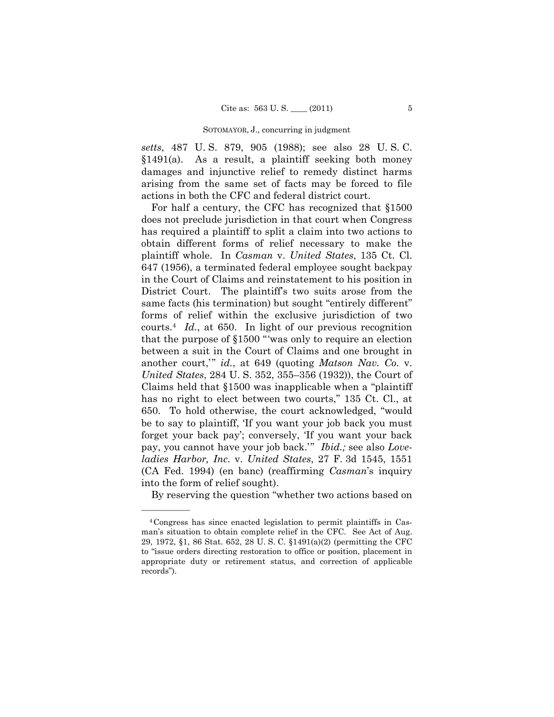*setts*, 487 U. S. 879, 905 (1988); see also 28 U. S. C. §1491(a). As a result, a plaintiff seeking both money damages and injunctive relief to remedy distinct harms arising from the same set of facts may be forced to file actions in both the CFC and federal district court.

For half a century, the CFC has recognized that §1500 does not preclude jurisdiction in that court when Congress has required a plaintiff to split a claim into two actions to obtain different forms of relief necessary to make the plaintiff whole. In *Casman* v. *United States*, 135 Ct. Cl. 647 (1956), a terminated federal employee sought backpay in the Court of Claims and reinstatement to his position in District Court. The plaintiff's two suits arose from the same facts (his termination) but sought "entirely different" forms of relief within the exclusive jurisdiction of two courts.4 *Id.*, at 650. In light of our previous recognition that the purpose of §1500 "'was only to require an election between a suit in the Court of Claims and one brought in another court,'" *id.*, at 649 (quoting *Matson Nav. Co.* v. *United States*, 284 U. S. 352, 355–356 (1932)), the Court of Claims held that §1500 was inapplicable when a "plaintiff has no right to elect between two courts," 135 Ct. Cl., at 650. To hold otherwise, the court acknowledged, "would be to say to plaintiff, 'If you want your job back you must forget your back pay'; conversely, 'If you want your back pay, you cannot have your job back.'" *Ibid.;* see also *Loveladies Harbor, Inc.* v. *United States*, 27 F. 3d 1545, 1551 (CA Fed. 1994) (en banc) (reaffirming *Casman*'s inquiry into the form of relief sought).

By reserving the question "whether two actions based on

<sup>4</sup>Congress has since enacted legislation to permit plaintiffs in Casman's situation to obtain complete relief in the CFC. See Act of Aug. 29, 1972, §1, 86 Stat. 652, 28 U. S. C. §1491(a)(2) (permitting the CFC to "issue orders directing restoration to office or position, placement in appropriate duty or retirement status, and correction of applicable records").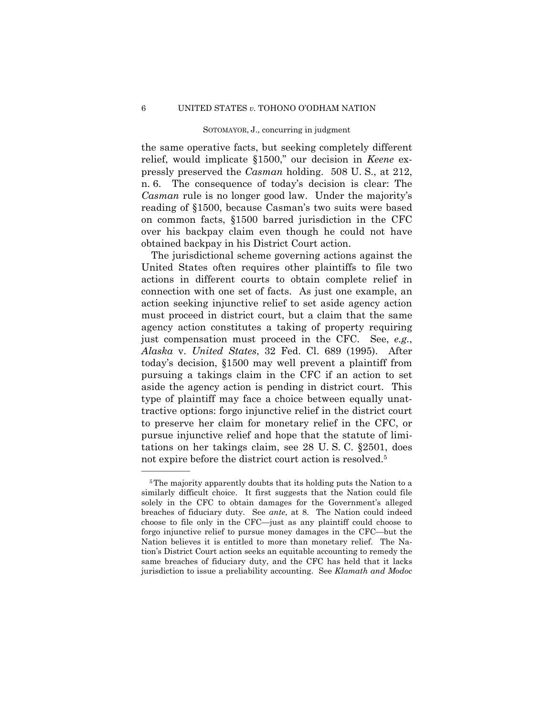the same operative facts, but seeking completely different relief, would implicate §1500," our decision in *Keene* expressly preserved the *Casman* holding. 508 U. S., at 212, n. 6. The consequence of today's decision is clear: The *Casman* rule is no longer good law. Under the majority's reading of §1500, because Casman's two suits were based on common facts, §1500 barred jurisdiction in the CFC over his backpay claim even though he could not have obtained backpay in his District Court action.

The jurisdictional scheme governing actions against the United States often requires other plaintiffs to file two actions in different courts to obtain complete relief in connection with one set of facts. As just one example, an action seeking injunctive relief to set aside agency action must proceed in district court, but a claim that the same agency action constitutes a taking of property requiring just compensation must proceed in the CFC. See, *e.g.*, *Alaska* v. *United States*, 32 Fed. Cl. 689 (1995). After today's decision, §1500 may well prevent a plaintiff from pursuing a takings claim in the CFC if an action to set aside the agency action is pending in district court. This type of plaintiff may face a choice between equally unattractive options: forgo injunctive relief in the district court to preserve her claim for monetary relief in the CFC, or pursue injunctive relief and hope that the statute of limitations on her takings claim, see 28 U. S. C. §2501, does not expire before the district court action is resolved.5

<sup>5</sup>The majority apparently doubts that its holding puts the Nation to a similarly difficult choice. It first suggests that the Nation could file solely in the CFC to obtain damages for the Government's alleged breaches of fiduciary duty. See *ante*, at 8. The Nation could indeed choose to file only in the CFC—just as any plaintiff could choose to forgo injunctive relief to pursue money damages in the CFC—but the Nation believes it is entitled to more than monetary relief. The Nation's District Court action seeks an equitable accounting to remedy the same breaches of fiduciary duty, and the CFC has held that it lacks jurisdiction to issue a preliability accounting. See *Klamath and Modoc*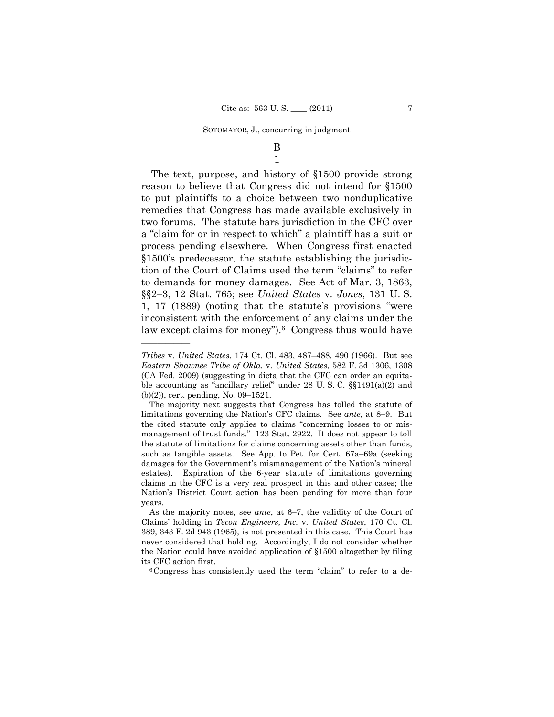## B 1

The text, purpose, and history of §1500 provide strong reason to believe that Congress did not intend for §1500 to put plaintiffs to a choice between two nonduplicative remedies that Congress has made available exclusively in two forums. The statute bars jurisdiction in the CFC over a "claim for or in respect to which" a plaintiff has a suit or process pending elsewhere. When Congress first enacted §1500's predecessor, the statute establishing the jurisdiction of the Court of Claims used the term "claims" to refer to demands for money damages. See Act of Mar. 3, 1863, §§2–3, 12 Stat. 765; see *United States* v. *Jones*, 131 U. S. 1, 17 (1889) (noting that the statute's provisions "were inconsistent with the enforcement of any claims under the law except claims for money").<sup>6</sup> Congress thus would have

*Tribes* v. *United States*, 174 Ct. Cl. 483, 487–488, 490 (1966). But see *Eastern Shawnee Tribe of Okla.* v. *United States*, 582 F. 3d 1306, 1308 (CA Fed. 2009) (suggesting in dicta that the CFC can order an equitable accounting as "ancillary relief" under 28 U.S.C.  $\S(1491(a)(2))$  and (b)(2)), cert. pending, No. 09–1521.

The majority next suggests that Congress has tolled the statute of limitations governing the Nation's CFC claims. See *ante*, at 8–9. But the cited statute only applies to claims "concerning losses to or mismanagement of trust funds." 123 Stat. 2922. It does not appear to toll the statute of limitations for claims concerning assets other than funds, such as tangible assets. See App. to Pet. for Cert. 67a–69a (seeking damages for the Government's mismanagement of the Nation's mineral estates). Expiration of the 6-year statute of limitations governing claims in the CFC is a very real prospect in this and other cases; the Nation's District Court action has been pending for more than four years.

As the majority notes, see *ante*, at 6–7, the validity of the Court of Claims' holding in *Tecon Engineers, Inc.* v. *United States*, 170 Ct. Cl. 389, 343 F. 2d 943 (1965), is not presented in this case. This Court has never considered that holding. Accordingly, I do not consider whether the Nation could have avoided application of §1500 altogether by filing its CFC action first.<br><sup>6</sup>Congress has consistently used the term "claim" to refer to a de-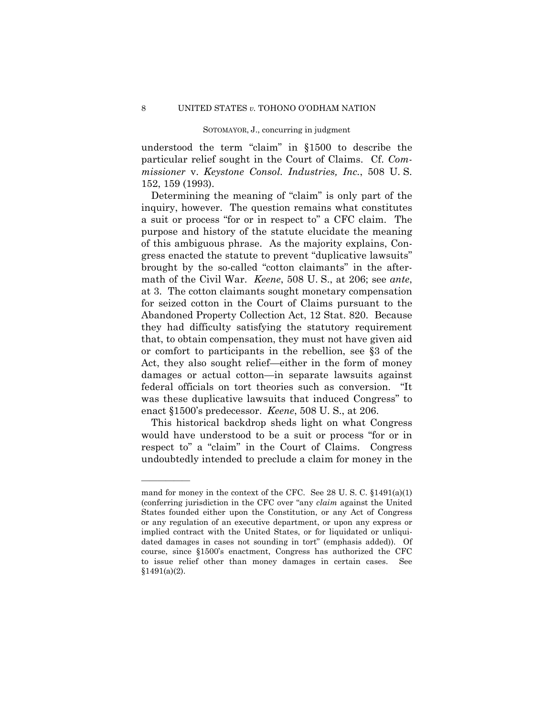understood the term "claim" in §1500 to describe the particular relief sought in the Court of Claims. Cf. *Commissioner* v. *Keystone Consol. Industries, Inc.*, 508 U. S. 152, 159 (1993).

Determining the meaning of "claim" is only part of the inquiry, however. The question remains what constitutes a suit or process "for or in respect to" a CFC claim. The purpose and history of the statute elucidate the meaning of this ambiguous phrase. As the majority explains, Congress enacted the statute to prevent "duplicative lawsuits" brought by the so-called "cotton claimants" in the aftermath of the Civil War. *Keene*, 508 U. S., at 206; see *ante*, at 3. The cotton claimants sought monetary compensation for seized cotton in the Court of Claims pursuant to the Abandoned Property Collection Act, 12 Stat. 820. Because they had difficulty satisfying the statutory requirement that, to obtain compensation, they must not have given aid or comfort to participants in the rebellion, see §3 of the Act, they also sought relief—either in the form of money damages or actual cotton—in separate lawsuits against federal officials on tort theories such as conversion. "It was these duplicative lawsuits that induced Congress" to enact §1500's predecessor. *Keene*, 508 U. S., at 206.

This historical backdrop sheds light on what Congress would have understood to be a suit or process "for or in respect to" a "claim" in the Court of Claims. Congress undoubtedly intended to preclude a claim for money in the

mand for money in the context of the CFC. See 28 U. S. C. §1491(a)(1) (conferring jurisdiction in the CFC over "any *claim* against the United States founded either upon the Constitution, or any Act of Congress or any regulation of an executive department, or upon any express or implied contract with the United States, or for liquidated or unliquidated damages in cases not sounding in tort" (emphasis added)). Of course, since §1500's enactment, Congress has authorized the CFC to issue relief other than money damages in certain cases. See  $$1491(a)(2)$ .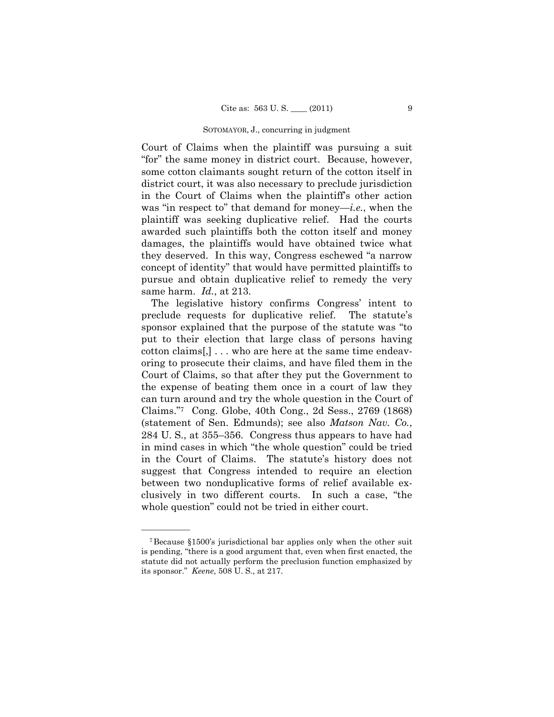Court of Claims when the plaintiff was pursuing a suit "for" the same money in district court. Because, however, some cotton claimants sought return of the cotton itself in district court, it was also necessary to preclude jurisdiction in the Court of Claims when the plaintiff's other action was "in respect to" that demand for money—*i.e.*, when the plaintiff was seeking duplicative relief. Had the courts awarded such plaintiffs both the cotton itself and money damages, the plaintiffs would have obtained twice what they deserved. In this way, Congress eschewed "a narrow concept of identity" that would have permitted plaintiffs to pursue and obtain duplicative relief to remedy the very same harm. *Id.*, at 213.

The legislative history confirms Congress' intent to preclude requests for duplicative relief. The statute's sponsor explained that the purpose of the statute was "to put to their election that large class of persons having cotton claims[,] . . . who are here at the same time endeavoring to prosecute their claims, and have filed them in the Court of Claims, so that after they put the Government to the expense of beating them once in a court of law they can turn around and try the whole question in the Court of Claims."7 Cong. Globe, 40th Cong., 2d Sess., 2769 (1868) (statement of Sen. Edmunds); see also *Matson Nav. Co.*, 284 U. S., at 355–356. Congress thus appears to have had in mind cases in which "the whole question" could be tried in the Court of Claims. The statute's history does not suggest that Congress intended to require an election between two nonduplicative forms of relief available exclusively in two different courts. In such a case, "the whole question" could not be tried in either court.

<sup>7</sup>Because §1500's jurisdictional bar applies only when the other suit is pending, "there is a good argument that, even when first enacted, the statute did not actually perform the preclusion function emphasized by its sponsor." *Keene*, 508 U. S., at 217.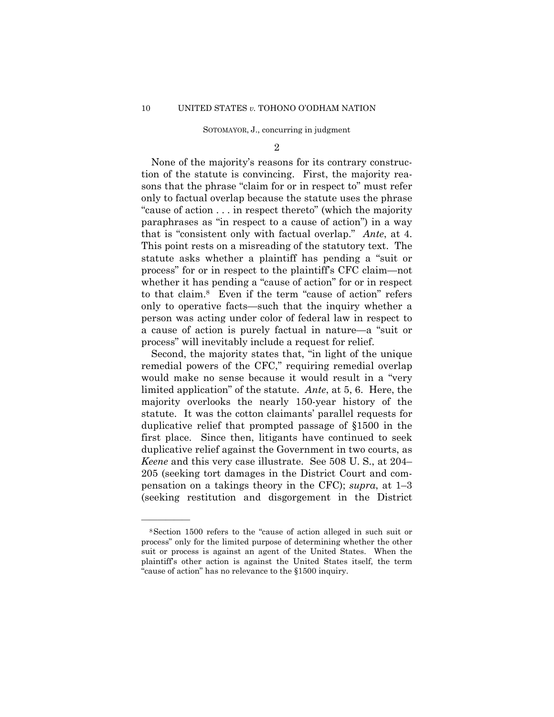$\mathcal{D}_{2}$ 

None of the majority's reasons for its contrary construction of the statute is convincing. First, the majority reasons that the phrase "claim for or in respect to" must refer only to factual overlap because the statute uses the phrase "cause of action . . . in respect thereto" (which the majority paraphrases as "in respect to a cause of action") in a way that is "consistent only with factual overlap." *Ante*, at 4. This point rests on a misreading of the statutory text. The statute asks whether a plaintiff has pending a "suit or process" for or in respect to the plaintiff's CFC claim—not whether it has pending a "cause of action" for or in respect to that claim.8 Even if the term "cause of action" refers only to operative facts—such that the inquiry whether a person was acting under color of federal law in respect to a cause of action is purely factual in nature—a "suit or process" will inevitably include a request for relief.

Second, the majority states that, "in light of the unique remedial powers of the CFC," requiring remedial overlap would make no sense because it would result in a "very limited application" of the statute. *Ante*, at 5, 6. Here, the majority overlooks the nearly 150-year history of the statute. It was the cotton claimants' parallel requests for duplicative relief that prompted passage of §1500 in the first place. Since then, litigants have continued to seek duplicative relief against the Government in two courts, as *Keene* and this very case illustrate. See 508 U. S., at 204– 205 (seeking tort damages in the District Court and compensation on a takings theory in the CFC); *supra*, at 1–3 (seeking restitution and disgorgement in the District

<sup>8</sup>Section 1500 refers to the "cause of action alleged in such suit or process" only for the limited purpose of determining whether the other suit or process is against an agent of the United States. When the plaintiff's other action is against the United States itself, the term "cause of action" has no relevance to the §1500 inquiry.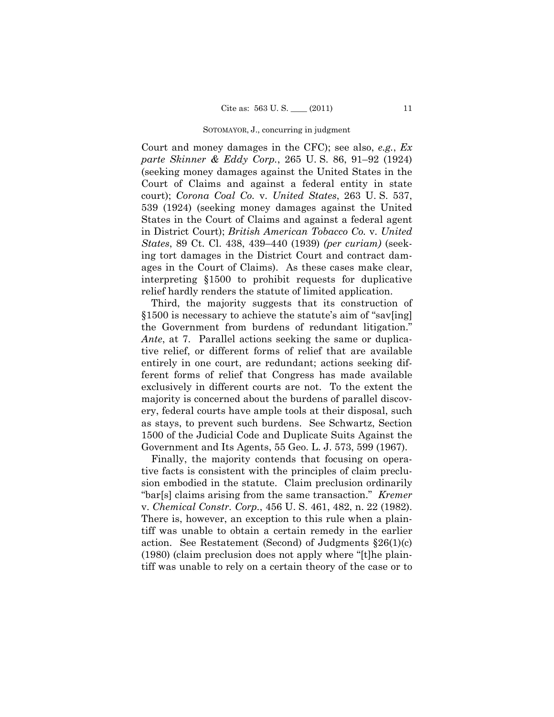Court and money damages in the CFC); see also, *e.g.*, *Ex parte Skinner & Eddy Corp.*, 265 U. S. 86, 91–92 (1924) (seeking money damages against the United States in the Court of Claims and against a federal entity in state court); *Corona Coal Co.* v. *United States*, 263 U. S. 537, 539 (1924) (seeking money damages against the United States in the Court of Claims and against a federal agent in District Court); *British American Tobacco Co.* v. *United States*, 89 Ct. Cl. 438, 439–440 (1939) *(per curiam)* (seeking tort damages in the District Court and contract damages in the Court of Claims). As these cases make clear, interpreting §1500 to prohibit requests for duplicative relief hardly renders the statute of limited application.

Third, the majority suggests that its construction of §1500 is necessary to achieve the statute's aim of "sav[ing] the Government from burdens of redundant litigation." *Ante*, at 7. Parallel actions seeking the same or duplicative relief, or different forms of relief that are available entirely in one court, are redundant; actions seeking different forms of relief that Congress has made available exclusively in different courts are not. To the extent the majority is concerned about the burdens of parallel discovery, federal courts have ample tools at their disposal, such as stays, to prevent such burdens. See Schwartz, Section 1500 of the Judicial Code and Duplicate Suits Against the Government and Its Agents, 55 Geo. L. J. 573, 599 (1967).

Finally, the majority contends that focusing on operative facts is consistent with the principles of claim preclusion embodied in the statute. Claim preclusion ordinarily "bar[s] claims arising from the same transaction." *Kremer*  v. *Chemical Constr. Corp.*, 456 U. S. 461, 482, n. 22 (1982). There is, however, an exception to this rule when a plaintiff was unable to obtain a certain remedy in the earlier action. See Restatement (Second) of Judgments  $\S26(1)(c)$ (1980) (claim preclusion does not apply where "[t]he plaintiff was unable to rely on a certain theory of the case or to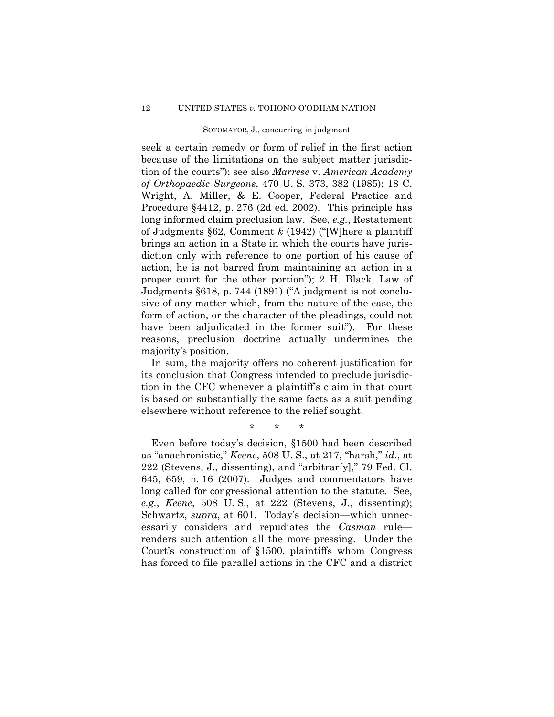seek a certain remedy or form of relief in the first action because of the limitations on the subject matter jurisdiction of the courts"); see also *Marrese* v. *American Academy of Orthopaedic Surgeons*, 470 U. S. 373, 382 (1985); 18 C. Wright, A. Miller, & E. Cooper, Federal Practice and Procedure §4412, p. 276 (2d ed. 2002). This principle has long informed claim preclusion law. See, *e.g.*, Restatement of Judgments §62, Comment *k* (1942) ("[W]here a plaintiff brings an action in a State in which the courts have jurisdiction only with reference to one portion of his cause of action, he is not barred from maintaining an action in a proper court for the other portion"); 2 H. Black, Law of Judgments §618, p. 744 (1891) ("A judgment is not conclusive of any matter which, from the nature of the case, the form of action, or the character of the pleadings, could not have been adjudicated in the former suit"). For these reasons, preclusion doctrine actually undermines the majority's position.

In sum, the majority offers no coherent justification for its conclusion that Congress intended to preclude jurisdiction in the CFC whenever a plaintiff's claim in that court is based on substantially the same facts as a suit pending elsewhere without reference to the relief sought.

\* \* \*

Even before today's decision, §1500 had been described as "anachronistic," *Keene*, 508 U. S., at 217, "harsh," *id.*, at 222 (Stevens, J., dissenting), and "arbitrar[y]," 79 Fed. Cl. 645, 659, n. 16 (2007). Judges and commentators have long called for congressional attention to the statute. See, *e.g.*, *Keene*, 508 U. S., at 222 (Stevens, J., dissenting); Schwartz, *supra*, at 601. Today's decision—which unnecessarily considers and repudiates the *Casman* rule renders such attention all the more pressing. Under the Court's construction of §1500, plaintiffs whom Congress has forced to file parallel actions in the CFC and a district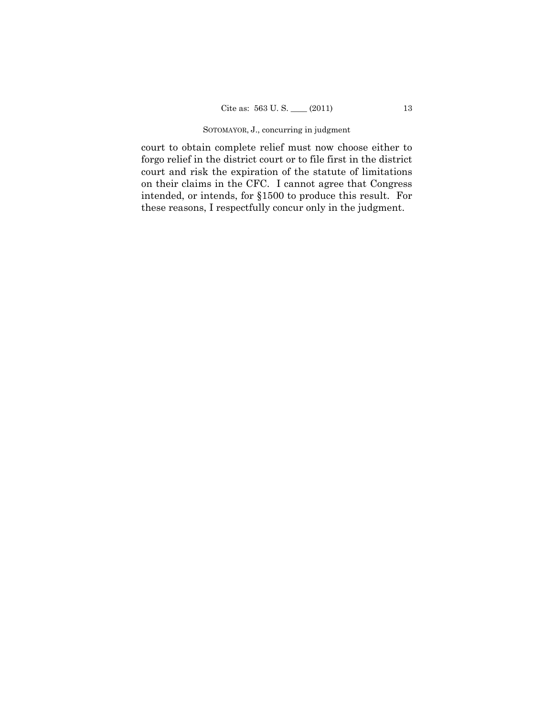court to obtain complete relief must now choose either to forgo relief in the district court or to file first in the district court and risk the expiration of the statute of limitations on their claims in the CFC. I cannot agree that Congress intended, or intends, for §1500 to produce this result. For these reasons, I respectfully concur only in the judgment.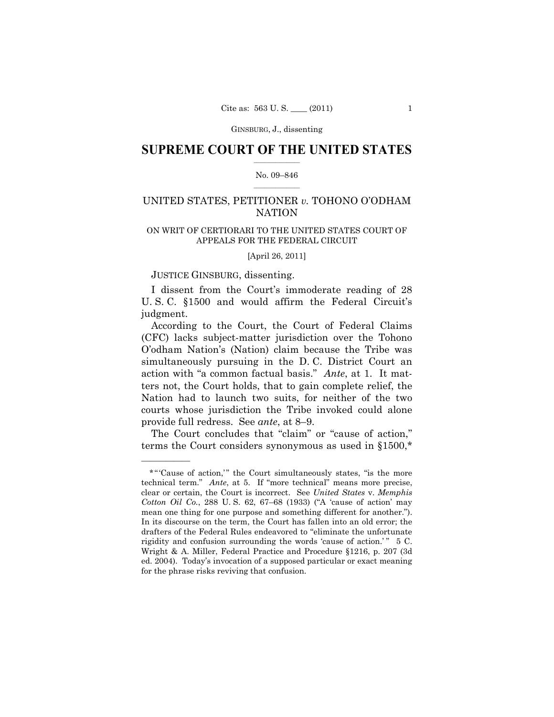GINSBURG, J., dissenting

## $\frac{1}{2}$  ,  $\frac{1}{2}$  ,  $\frac{1}{2}$  ,  $\frac{1}{2}$  ,  $\frac{1}{2}$  ,  $\frac{1}{2}$  ,  $\frac{1}{2}$ **SUPREME COURT OF THE UNITED STATES**

#### $\frac{1}{2}$  ,  $\frac{1}{2}$  ,  $\frac{1}{2}$  ,  $\frac{1}{2}$  ,  $\frac{1}{2}$  ,  $\frac{1}{2}$ No. 09–846

## UNITED STATES, PETITIONER *v.* TOHONO O'ODHAM NATION

## ON WRIT OF CERTIORARI TO THE UNITED STATES COURT OF APPEALS FOR THE FEDERAL CIRCUIT

[April 26, 2011]

## JUSTICE GINSBURG, dissenting.

——————

I dissent from the Court's immoderate reading of 28 U. S. C. §1500 and would affirm the Federal Circuit's judgment.

According to the Court, the Court of Federal Claims (CFC) lacks subject-matter jurisdiction over the Tohono O'odham Nation's (Nation) claim because the Tribe was simultaneously pursuing in the D. C. District Court an action with "a common factual basis." *Ante*, at 1. It matters not, the Court holds, that to gain complete relief, the Nation had to launch two suits, for neither of the two courts whose jurisdiction the Tribe invoked could alone provide full redress. See *ante*, at 8–9.

The Court concludes that "claim" or "cause of action," terms the Court considers synonymous as used in §1500,\*

<sup>\* &</sup>quot;Cause of action," the Court simultaneously states, "is the more technical term." *Ante*, at 5. If "more technical" means more precise, clear or certain, the Court is incorrect. See *United States* v. *Memphis Cotton Oil Co.*, 288 U. S. 62, 67–68 (1933) ("A 'cause of action' may mean one thing for one purpose and something different for another."). In its discourse on the term, the Court has fallen into an old error; the drafters of the Federal Rules endeavored to "eliminate the unfortunate rigidity and confusion surrounding the words 'cause of action.' " 5 C. Wright & A. Miller, Federal Practice and Procedure §1216, p. 207 (3d ed. 2004). Today's invocation of a supposed particular or exact meaning for the phrase risks reviving that confusion.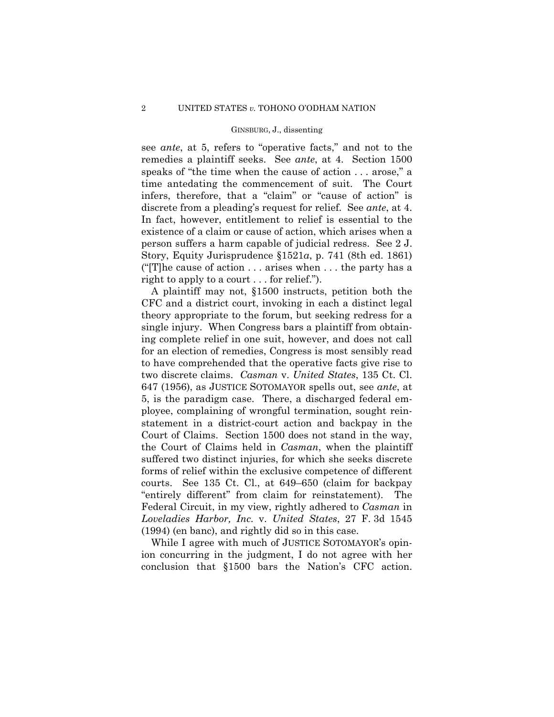#### GINSBURG, J., dissenting

see *ante*, at 5, refers to "operative facts," and not to the remedies a plaintiff seeks. See *ante*, at 4. Section 1500 speaks of "the time when the cause of action . . . arose," a time antedating the commencement of suit. The Court infers, therefore, that a "claim" or "cause of action" is discrete from a pleading's request for relief. See *ante*, at 4. In fact, however, entitlement to relief is essential to the existence of a claim or cause of action, which arises when a person suffers a harm capable of judicial redress. See 2 J. Story, Equity Jurisprudence §1521*a*, p. 741 (8th ed. 1861) ("[T]he cause of action . . . arises when . . . the party has a right to apply to a court . . . for relief.").

A plaintiff may not, §1500 instructs, petition both the CFC and a district court, invoking in each a distinct legal theory appropriate to the forum, but seeking redress for a single injury. When Congress bars a plaintiff from obtaining complete relief in one suit, however, and does not call for an election of remedies, Congress is most sensibly read to have comprehended that the operative facts give rise to two discrete claims. *Casman* v. *United States*, 135 Ct. Cl. 647 (1956), as JUSTICE SOTOMAYOR spells out, see *ante*, at 5, is the paradigm case. There, a discharged federal employee, complaining of wrongful termination, sought reinstatement in a district-court action and backpay in the Court of Claims. Section 1500 does not stand in the way, the Court of Claims held in *Casman*, when the plaintiff suffered two distinct injuries, for which she seeks discrete forms of relief within the exclusive competence of different courts. See 135 Ct. Cl., at 649–650 (claim for backpay "entirely different" from claim for reinstatement). The Federal Circuit, in my view, rightly adhered to *Casman* in *Loveladies Harbor, Inc.* v. *United States*, 27 F. 3d 1545 (1994) (en banc), and rightly did so in this case.

While I agree with much of JUSTICE SOTOMAYOR's opinion concurring in the judgment, I do not agree with her conclusion that §1500 bars the Nation's CFC action.